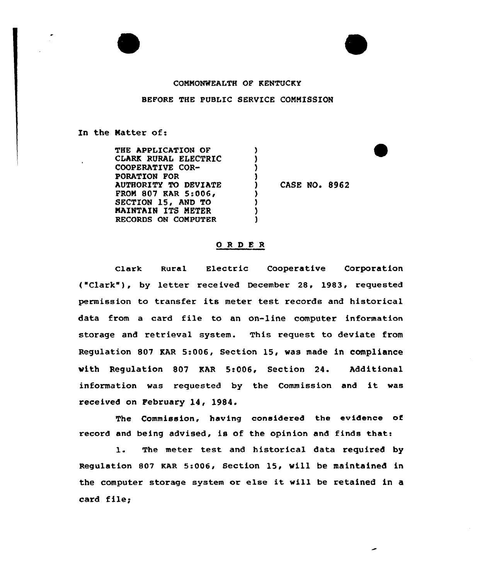## COMMONWEALTH OF KENTUCKY

## BEFORE THE PUBLIC SERVICE COMMISSION

In the Natter of:

| THE APPLICATION OF   |                      |  |
|----------------------|----------------------|--|
| CLARK RURAL ELECTRIC |                      |  |
| COOPERATIVE COR-     |                      |  |
| PORATION FOR         |                      |  |
| AUTHORITY TO DEVIATE | <b>CASE NO. 8962</b> |  |
| FROM 807 KAR 5:006,  |                      |  |
| SECTION 15, AND TO   |                      |  |
| MAINTAIN ITS METER   |                      |  |
| RECORDS ON COMPUTER  |                      |  |

## ORDER

Clark Rural Electric Cooperative Corporation ( "Clark" ), by letter rece ived December 28, 1983, requested permission to transfer its meter test records and historical data from a card file to an on-line computer information storage and retrieval system. This request to deviate from Regulation 807 RAR 5:006, Section 15, was made in compliance vith Regulation 807 EAR 5:006, Section 24. Additional information vas requested by the Commission and it was received on February 14, 1984.

The Commission, having considered the evidence of record and being advised, is of the opinion and finds that:

1. The meter test and historical data required by Regulation 807 KAR 5:006, Section 15, vill be maintained in the computer storage system or else it will be retained in <sup>a</sup> card file;